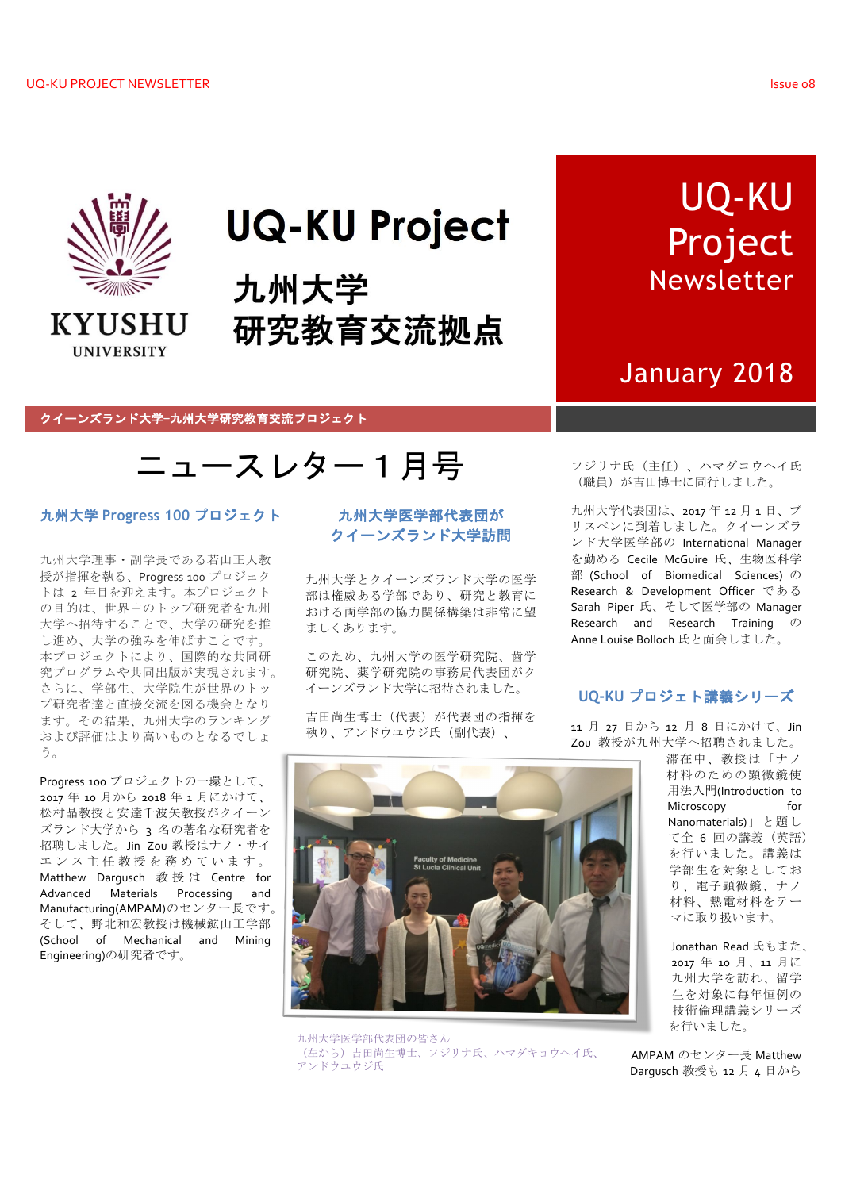

# **UQ-KU Project**

九州大学 研究教育交流拠点

# UQ-KU Project Newsletter

## January 2018

#### クイーンズランド大学-九州大学研究教育交流プロジェクト

## ニュースレター1月号

### 九州大学 Progress 100 プロジェクト

九州大学理事・副学長である若山正人教 授が指揮を執る、Progress 100 プロジェク トは 2 年目を迎えます。本プロジェクト の目的は、世界中のトップ研究者を九州 大学へ招待することで、大学の研究を推 し進め、大学の強みを伸ばすことです。 本プロジェクトにより、国際的な共同研 究プログラムや共同出版が実現されます。 さらに、学部生、大学院生が世界のトッ プ研究者達と直接交流を図る機会となり ます。その結果、九州大学のランキング および評価はより高いものとなるでしょ う。

Progress 100 プロジェクトの一環として、 2017年10月から2018年1月にかけて、 松村晶教授と安達千波矢教授がクイーン ズランド大学から 3 名の著名な研究者を 招聘しました。Jin Zou 教授はナノ・サイ エンス主任教授を務めています。 Matthew Dargusch 教授は Centre for Advanced Materials Processing and Manufacturing(AMPAM)のセンター長です。 そして、野北和宏教授は機械鉱山工学部 (School of Mechanical and Mining Engineering)の研究者です。

### 九州大学医学部代表団が クイーンズランド大学訪問

九州大学とクイーンズランド大学の医学 部は権威ある学部であり、研究と教育に おける両学部の協力関係構築は非常に望 ましくあります。

このため、九州大学の医学研究院、歯学 研究院、薬学研究院の事務局代表団がク イーンズランド大学に招待されました。

吉田尚生博士(代表)が代表団の指揮を 執り、アンドウユウジ氏 (副代表)、

フジリナ氏 (主任)、ハマダコウヘイ氏 (職員)が吉田博士に同行しました。

九州大学代表団は、2017年12月1日、ブ リスベンに到着しました。クイーンズラ ンド大学医学部の International Manager を勤める Cecile McGuire 氏、生物医科学 部 (School of Biomedical Sciences) の Research & Development Officer である Sarah Piper 氏、そして医学部の Manager Research and Research Training の Anne Louise Bolloch 氏と面会しました。

## UO-KU プロジェト講義シリーズ

11 月 27 日から 12 月 8 日にかけて、Jin Zou 教授が九州大学へ招聘されました。



九州大学医学部代表団の皆さん (左から) 吉田尚生博士、フジリナ氏、ハマダキョウヘイ氏、 アンドウユウジ氏

滞在中、教授は「ナノ 材料のための顕微鏡使 用法入門(Introduction to Microscopy  $for$ Nanomaterials)」と題し て全 6 回の講義 (英語) を行いました。講義は 学部生を対象としてお り、電子顕微鏡、ナノ 材料、熱電材料をテー マに取り扱います。

Jonathan Read 氏もまた、 2017年10月、11月に 九州大学を訪れ、留学 生を対象に毎年恒例の 技術倫理講義シリーズ を行いました。

AMPAM のセンター長 Matthew Darqusch 教授も 12 月 4 日から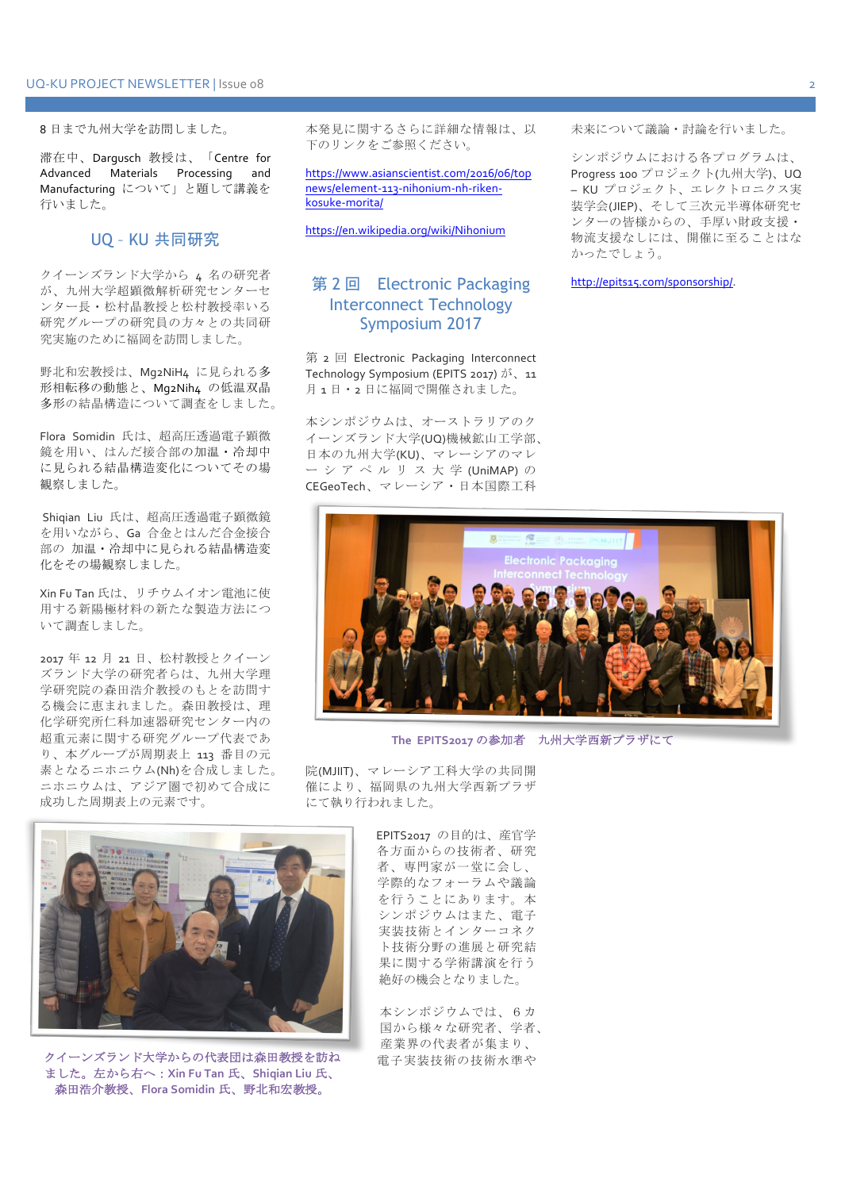#### 8日まで九州大学を訪問しました。

滞在中、Darqusch 教授は、「Centre for Advanced Materials Processing and Manufacturing について」と題して講義を 行いました。

#### UQ - KU 共同研究

クイーンズランド大学から 4 名の研究者 が、九州大学超顕微解析研究センターセ ンター長·松村晶教授と松村教授率いる 研究グループの研究員の方々との共同研 究実施のために福岡を訪問しました。

野北和宏教授は、Mg2NiH4 に見られる多 形相転移の動態と、Mq2Nih4 の低温双晶 多形の結晶構造について調査をしました。

Flora Somidin 氏は、超高圧透過電子顕微 鏡を用い、はんだ接合部の加温·冷却中 に見られる結晶構造変化についてその場 観察しました。

Shiqian Liu 氏は、超高圧透過電子顕微鏡 を用いながら、Ga 合金とはんだ合金接合 部の 加温·冷却中に見られる結晶構造変 化をその場観察しました。

Xin Fu Tan 氏は、リチウムイオン電池に使 用する新陽極材料の新たな製造方法につ いて調査しました。

2017 年 12 月 21 日、松村教授とクイーン ズランド大学の研究者らは、九州大学理 学研究院の森田浩介教授のもとを訪問す る機会に恵まれました。森田教授は、理 化学研究所仁科加速器研究センター内の 超重元素に関する研究グループ代表であ り、本グループが周期表上 113 番目の元 素となるニホニウム(Nh)を合成しました。 ニホニウムは、アジア圏で初めて合成に 成功した周期表上の元素です。

本発見に関するさらに詳細な情報は、以 下のリンクをご参照ください。

https://www.asianscientist.com/2016/06/top news/element-113-nihonium-nh-rikenkosuke-morita/

https://en.wikipedia.org/wiki/Nihonium

## 第2回 Electronic Packaging Interconnect Technology Symposium 2017

第 2 回 Electronic Packaging Interconnect Technology Symposium (EPITS 2017)  $\check{\beta}$ , 11 月1日·2日に福岡で開催されました。

本シンポジウムは、オーストラリアのク イーンズランド大学(UQ)機械鉱山工学部、 日本の九州大学(KU)、マレーシアのマレ ーシアペルリス大学(UniMAP)の CEGeoTech、マレーシア・日本国際工科

未来について議論·討論を行いました。

シンポジウムにおける各プログラムは、 Progress 100 プロジェクト(九州大学)、UQ - KU プロジェクト、エレクトロニクス実 装学会(JIEP)、そして三次元半導体研究セ ンターの皆様からの、手厚い財政支援· 物流支援なしには、開催に至ることはな かったでしょう。

http://epits15.com/sponsorship/.



The EPITS2017 の参加者 九州大学西新プラザにて

院(MJIIT)、マレーシア工科大学の共同開 催により、福岡県の九州大学西新プラザ にて執り行われました。

> EPITS2017 の目的は、産官学 各方面からの技術者、研究 者、専門家が一堂に会し、 学際的なフォーラムや議論 を行うことにあります。本 シンポジウムはまた、電子 実装技術とインターコネク ト技術分野の進展と研究結 果に関する学術講演を行う 絶好の機会となりました。

> > 本シンポジウムでは、6カ 国から様々な研究者、学者、 産業界の代表者が集まり、 電子実装技術の技術水準や



クイーンズランド大学からの代表団は森田教授を訪ね ました。左から右へ: Xin Fu Tan 氏、Shiqian Liu 氏、 森田浩介教授、Flora Somidin 氏、野北和宏教授。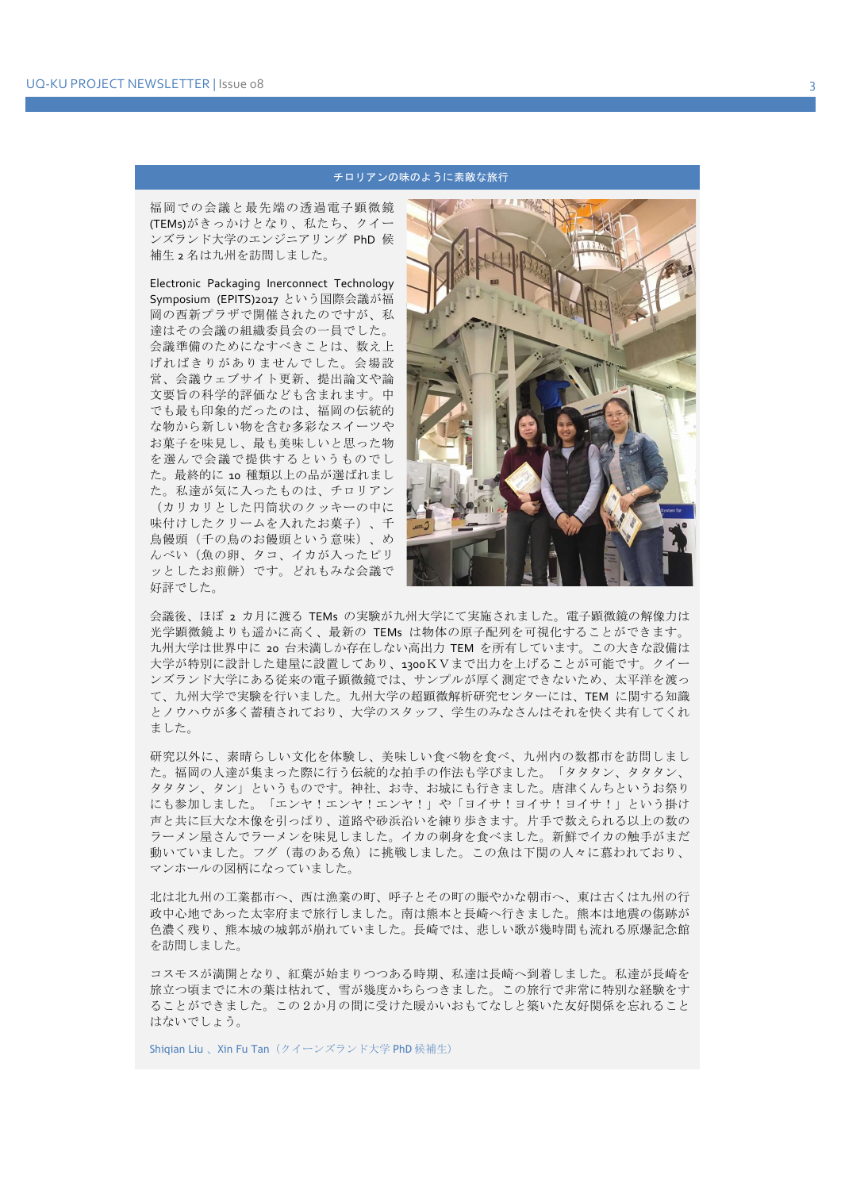#### チロリアンの味のように素敵な旅行

福岡での会議と最先端の透過電子顕微鏡 (TEMs)がきっかけとなり、私たち、クイー ンズランド大学のエンジニアリング PhD 候 補生2名は九州を訪問しました。

Electronic Packaging Inerconnect Technology Symposium (EPITS)2017 という国際会議が福 岡の西新プラザで開催されたのですが、私 達はその会議の組織委員会の一員でした。 会議準備のためになすべきことは、数え上 げればきりがありませんでした。会場設 営、会議ウェブサイト更新、提出論文や論 文要旨の科学的評価なども含まれます。中 でも最も印象的だったのは、福岡の伝統的 な物から新しい物を含む多彩なスイーツや お菓子を味見し、最も美味しいと思った物 を選んで会議で提供するというものでし た。最終的に 10 種類以上の品が選ばれまし た。私達が気に入ったものは、チロリアン (カリカリとした円筒状のクッキーの中に 味付けしたクリームを入れたお菓子)、千 鳥饅頭 (千の鳥のお饅頭という意味)、め んべい(魚の卵、タコ、イカが入ったピリ ッとしたお煎餅)です。どれもみな会議で 好評でした。



会議後、ほぼ 2 カ月に渡る TEMs の実験が九州大学にて実施されました。電子顕微鏡の解像力は 光学顕微鏡よりも遥かに高く、最新の TEMs は物体の原子配列を可視化することができます。 九州大学は世界中に 20 台未満しか存在しない高出力 TEM を所有しています。この大きな設備は 大学が特別に設計した建屋に設置してあり、1300KVまで出力を上げることが可能です。クイー ンズランド大学にある従来の電子顕微鏡では、サンプルが厚く測定できないため、太平洋を渡っ て、九州大学で実験を行いました。九州大学の超顕微解析研究センターには、TEM に関する知識 とノウハウが多く蓄積されており、大学のスタッフ、学生のみなさんはそれを快く共有してくれ ました。

研究以外に、素晴らしい文化を体験し、美味しい食べ物を食べ、九州内の数都市を訪問しまし た。福岡の人達が集まった際に行う伝統的な拍手の作法も学びました。「タタタン、タタタン、 タタタン、タン」というものです。神社、お寺、お城にも行きました。唐津くんちというお祭り にも参加しました。「エンヤ!エンヤ!エンヤ!」や「ヨイサ!ヨイサ!ヨイサ!」という掛け 声と共に巨大な木像を引っぱり、道路や砂浜沿いを練り歩きます。片手で数えられる以上の数の ラーメン屋さんでラーメンを味見しました。イカの刺身を食べました。新鮮でイカの触手がまだ 動いていました。フグ(毒のある魚)に挑戦しました。この魚は下関の人々に慕われており、 マンホールの図柄になっていました。

北は北九州の工業都市へ、西は漁業の町、呼子とその町の賑やかな朝市へ、東は古くは九州の行 政中心地であった太宰府まで旅行しました。南は熊本と長崎へ行きました。熊本は地震の傷跡が 色濃く残り、熊本城の城郭が崩れていました。長崎では、悲しい歌が幾時間も流れる原爆記念館 を訪問しました。

コスモスが満開となり、紅葉が始まりつつある時期、私達は長崎へ到着しました。私達が長崎を 旅立つ頃までに木の葉は枯れて、雪が幾度かちらつきました。この旅行で非常に特別な経験をす ることができました。この2か月の間に受けた暖かいおもてなしと築いた友好関係を忘れること はないでしょう。

Shigian Liu、Xin Fu Tan (クイーンズランド大学 PhD 候補生)